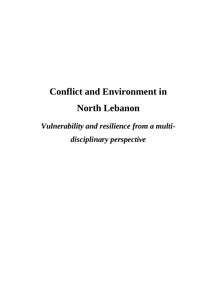# **Conflict and Environment in North Lebanon**

*Vulnerability and resilience from a multidisciplinary perspective*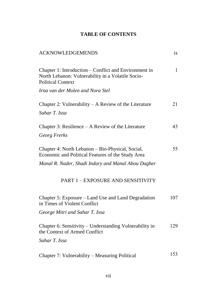## **TABLE OF CONTENTS**

| <b>ACKNOWLEDGEMENDS</b>                                                                                                                | ix           |
|----------------------------------------------------------------------------------------------------------------------------------------|--------------|
| Chapter 1: Introduction – Conflict and Environment in<br>North Lebanon: Vulnerability in a Volatile Socio-<br><b>Political Context</b> | $\mathbf{1}$ |
| Irna van der Molen and Nora Stel                                                                                                       |              |
| Chapter 2: Vulnerability $-A$ Review of the Literature                                                                                 | 21           |
| Sahar T. Issa                                                                                                                          |              |
| Chapter 3: Resilience – A Review of the Literature                                                                                     | 43           |
| Georg Frerks                                                                                                                           |              |
| Chapter 4: North Lebanon – Bio-Physical, Social,<br>Economic and Political Features of the Study Area                                  | 55           |
| Manal R. Nader, Shadi Indary and Manal Abou Dagher                                                                                     |              |
| PART 1 - EXPOSURE AND SENSITIVITY                                                                                                      |              |
| Chapter 5: Exposure – Land Use and Land Degradation<br>in Times of Violent Conflict                                                    | 107          |
| George Mitri and Sahar T. Issa                                                                                                         |              |
| Chapter 6: Sensitivity – Understanding Vulnerability in<br>the Context of Armed Conflict                                               | 129          |
| Sahar T. Issa                                                                                                                          |              |
| Chapter 7: Vulnerability - Measuring Political                                                                                         | 153          |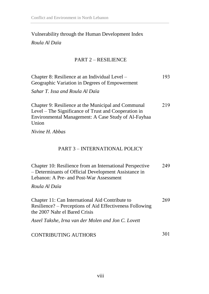## Vulnerability through the Human Development Index

*Roula Al Daïa*

## PART 2 – RESILIENCE

| Chapter 8: Resilience at an Individual Level –<br>Geographic Variation in Degrees of Empowerment<br>Sahar T. Issa and Roula Al Daïa                                         | 193 |
|-----------------------------------------------------------------------------------------------------------------------------------------------------------------------------|-----|
| Chapter 9: Resilience at the Municipal and Communal<br>Level – The Significance of Trust and Cooperation in<br>Environmental Management: A Case Study of Al-Fayhaa<br>Union | 219 |
| Nivine H. Abbas                                                                                                                                                             |     |
| <b>PART 3 - INTERNATIONAL POLICY</b>                                                                                                                                        |     |
| Chapter 10: Resilience from an International Perspective<br>- Determinants of Official Development Assistance in<br>Lebanon: A Pre- and Post-War Assessment                 | 249 |
| Roula Al Daïa                                                                                                                                                               |     |
| Chapter 11: Can International Aid Contribute to<br>Resilience? – Perceptions of Aid Effectiveness Following<br>the 2007 Nahr el Bared Crisis                                | 269 |
| Aseel Takshe, Irna van der Molen and Jon C. Lovett                                                                                                                          |     |
| <b>CONTRIBUTING AUTHORS</b>                                                                                                                                                 | 301 |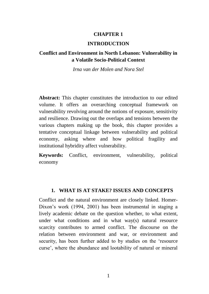#### **CHAPTER 1**

#### **INTRODUCTION**

## **Conflict and Environment in North Lebanon: Vulnerability in a Volatile Socio-Political Context**

*Irna van der Molen and Nora Stel*

**Abstract:** This chapter constitutes the introduction to our edited volume. It offers an overarching conceptual framework on vulnerability revolving around the notions of exposure, sensitivity and resilience. Drawing out the overlaps and tensions between the various chapters making up the book, this chapter provides a tentative conceptual linkage between vulnerability and political economy, asking where and how political fragility and institutional hybridity affect vulnerability.

**Keywords:** Conflict, environment, vulnerability, political economy

#### **1. WHAT IS AT STAKE? ISSUES AND CONCEPTS**

Conflict and the natural environment are closely linked. Homer-Dixon's work (1994, 2001) has been instrumental in staging a lively academic debate on the question whether, to what extent, under what conditions and in what way(s) natural resource scarcity contributes to armed conflict. The discourse on the relation between environment and war, or environment and security, has been further added to by studies on the 'resource curse', where the abundance and lootability of natural or mineral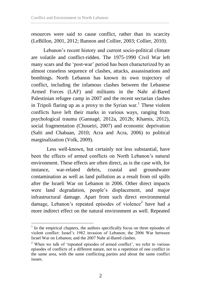resources were said to cause conflict, rather than its scarcity (LeBillon, 2001, 2012; Bannon and Collier, 2003; Collier, 2010).

Lebanon's recent history and current socio-political climate are volatile and conflict-ridden. The 1975-1990 Civil War left many scars and the 'post-war' period has been characterized by an almost ceaseless sequence of clashes, attacks, assassinations and bombings. North Lebanon has known its own trajectory of conflict, including the infamous clashes between the Lebanese Armed Forces (LAF) and militants in the Nahr al-Bared Palestinian refugee camp in 2007 and the recent sectarian clashes in Tripoli flaring up as a proxy to the Syrian war.<sup>1</sup> These violent conflicts have left their marks in various ways, ranging from psychological trauma (Gannagé, 2012a, 2012b; Khamis, 2012), social fragmentation (Choueiri, 2007) and economic deprivation (Salti and Chabaan, 2010; Acra and Acra, 2006) to political marginalization (Volk, 2009).

Less well-known, but certainly not less substantial, have been the effects of armed conflicts on North Lebanon's natural environment. These effects are often direct, as is the case with, for instance, war-related debris, coastal and groundwater contamination as well as land pollution as a result from oil spills after the Israeli War on Lebanon in 2006. Other direct impacts were land degradation, people's displacement, and major infrastructural damage. Apart from such direct environmental damage, Lebanon's repeated episodes of violence<sup>2</sup> have had a more indirect effect on the natural environment as well. Repeated

 $\overline{\phantom{a}}$ 

<sup>&</sup>lt;sup>1</sup> In the empirical chapters, the authors specifically focus on three episodes of violent conflict: Israel's 1982 invasion of Lebanon; the 2006 War between Israel War on Lebanon; and the 2007 Nahr al-Bared clashes.

<sup>&</sup>lt;sup>2</sup> When we talk of 'repeated episodes of armed conflict', we refer to various episodes of conflicts of a different nature, not to a repetition of one conflict in the same area, with the same conflicting parties and about the same conflict issues.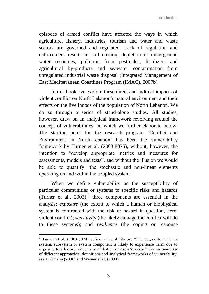episodes of armed conflict have affected the ways in which agriculture, fishery, industries, tourism and water and waste sectors are governed and regulated. Lack of regulation and enforcement results in soil erosion, depletion of underground water resources, pollution from pesticides, fertilizers and agricultural by-products and seawater contamination from unregulated industrial waste disposal (Integrated Management of East Mediterranean Coastlines Program (IMAC), 2007b).

In this book, we explore these direct and indirect impacts of violent conflict on North Lebanon's natural environment and their effects on the livelihoods of the population of North Lebanon. We do so through a series of stand-alone studies. All studies, however, draw on an analytical framework revolving around the concept of vulnerabilities, on which we further elaborate below. The starting point for the research program 'Conflict and Environment in North-Lebanon' has been the vulnerability framework by Turner et al. (2003:8075), without, however, the intention to "develop appropriate metrics and measures for assessments, models and tests", and without the illusion we would be able to quantify "the stochastic and non-linear elements operating on and within the coupled system."

When we define vulnerability as the susceptibility of particular communities or systems to specific risks and hazards (Turner et al.,  $2003$ ),<sup>3</sup> three components are essential in the analysis: *exposure* (the extent to which a human or biophysical system is confronted with the risk or hazard in question, here: violent conflict); *sensitivity* (the likely damage the conflict will do to these systems); and *resilience* (the coping or response

 $\overline{a}$ 

 $3$  Turner et al. (2003:8074) define vulnerability as: "The degree to which a system, subsystem or system component is likely to experience harm due to exposure to a hazard, either a perturbation or stress/stressor." For an overview of different approaches, definitions and analytical frameworks of vulnerability, see Birkmann (2006) and Wisner et al. (2004).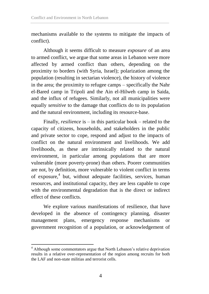mechanisms available to the systems to mitigate the impacts of conflict).

Although it seems difficult to measure *exposure* of an area to armed conflict, we argue that some areas in Lebanon were more affected by armed conflict than others, depending on the proximity to borders (with Syria, Israel); polarization among the population (resulting in sectarian violence), the history of violence in the area; the proximity to refugee camps – specifically the Nahr el-Bared camp in Tripoli and the Ain el-Hilweh camp in Saida, and the influx of refugees. Similarly, not all municipalities were equally *sensitive* to the damage that conflicts do to its population and the natural environment, including its resource-base.

Finally, *resilience* is – in this particular book – related to the capacity of citizens, households, and stakeholders in the public and private sector to cope, respond and adjust to the impacts of conflict on the natural environment and livelihoods. We add livelihoods, as these are intrinsically related to the natural environment, in particular among populations that are more vulnerable (more poverty-prone) than others. Poorer communities are not, by definition, more vulnerable to violent conflict in terms of exposure,<sup>4</sup> but, without adequate facilities, services, human resources, and institutional capacity, they are less capable to cope with the environmental degradation that is the direct or indirect effect of these conflicts.

We explore various manifestations of resilience, that have developed in the absence of contingency planning, disaster management plans, emergency response mechanisms or government recognition of a population, or acknowledgement of

 $\overline{\phantom{a}}$ 

<sup>&</sup>lt;sup>4</sup> Although some commentators argue that North Lebanon's relative deprivation results in a relative over-representation of the region among recruits for both the LAF and non-state militias and terrorist cells.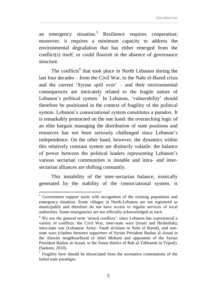an emergency situation.<sup>5</sup> Resilience requires cooperation: moreover, it requires a minimum capacity to address the environmental degradation that has either emerged from the conflict(s) itself, or could flourish in the absence of governance structure.

The conflicts<sup>6</sup> that took place in North Lebanon during the last four decades – from the Civil War, to the Nahr el-Bared crisis and the current 'Syrian spill over' – and their environmental consequences are intricately related to the fragile nature of Lebanon's political system.<sup>7</sup> In Lebanon, 'vulnerability' should therefore be positioned in the context of fragility of the political system. Lebanon's consociational system constitutes a paradox. It is remarkably protracted on the one hand: the overarching logic of an elite bargain managing the distribution of state positions and resources has not been seriously challenged since Lebanon's independence. On the other hand, however, the dynamics within this relatively constant system are distinctly volatile: the balance of power between the political leaders representing Lebanon's various sectarian communities is instable and intra- and intersectarian alliances are shifting constantly.

This instability of the inter-sectarian balance, ironically generated by the stability of the consociational system, is

 $\overline{\phantom{a}}$ 

<sup>&</sup>lt;sup>5</sup> Government support starts with recognition of the existing population and emergency situation. Some villages in North-Lebanon are not registered as municipality and therefore do not have access to regular services of local authorities. Some emergencies are not officially acknowledged as such.

<sup>6</sup> We use the general term 'armed conflicts', since Lebanon has experienced a variety of conflicts: the Civil War, inter-state wars (Israel and Hezbollah); intra-state war (Lebanese Army- Fatah al-Islam in Nahr el Bared), and nonstate wars (clashes between supporters of Syrian President Bashar al-Assad in the Alawite neighbourhood of Jebel Mohsen and opponents of the Syrian President Bashar al-Assad, in the Sunni district of Bab al-Tabbaneh in Tripoli). (Sarkees, 2010).

 $7$  Fragility here should be dissociated from the normative connotations of the failed state paradigm.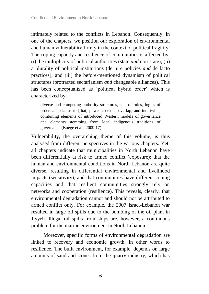intimately related to the conflicts in Lebanon. Consequently, in one of the chapters, we position our exploration of environmental and human vulnerability firmly in the context of political fragility. The coping capacity and resilience of communities is affected by: (i) the multiplicity of political authorities (state *and* non-state); (ii) a plurality of political institutions (de jure policies *and* de facto practices); and (iii) the before-mentioned dynamism of political structures (protracted sectarianism *and* changeable alliances). This has been conceptualized as 'political hybrid order' which is characterized by:

diverse and competing authority structures, sets of rules, logics of order, and claims to [that] power co-exist, overlap, and intertwine, combining elements of introduced Western models of governance and elements stemming from local indigenous traditions of governance (Boege et al., 2009:17).

Vulnerability, the overarching theme of this volume, is thus analysed from different perspectives in the various chapters. Yet, all chapters indicate that municipalities in North Lebanon have been differentially at risk to armed conflict (exposure); that the human and environmental conditions in North Lebanon are quite diverse, resulting in differential environmental and livelihood impacts (sensitivity); and that communities have different coping capacities and that resilient communities strongly rely on networks and cooperation (resilience). This reveals, clearly, that environmental degradation cannot and should not be attributed to armed conflict only. For example, the 2007 Israel-Lebanon war resulted in large oil spills due to the bombing of the oil plant in Jiyyeh. Illegal oil spills from ships are, however, a continuous problem for the marine environment in North Lebanon.

Moreover, specific forms of environmental degradation are linked to recovery and economic growth, in other words to resilience. The built environment, for example, depends on large amounts of sand and stones from the quarry industry, which has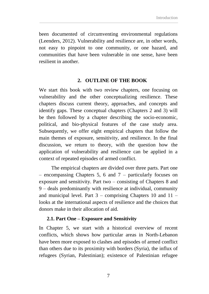been documented of circumventing environmental regulations (Leenders, 2012). Vulnerability and resilience are, in other words, not easy to pinpoint to one community, or one hazard, and communities that have been vulnerable in one sense, have been resilient in another.

#### **2. OUTLINE OF THE BOOK**

We start this book with two review chapters, one focusing on vulnerability and the other conceptualizing resilience. These chapters discuss current theory, approaches, and concepts and identify gaps. These conceptual chapters (Chapters 2 and 3) will be then followed by a chapter describing the socio-economic, political, and bio-physical features of the case study area. Subsequently, we offer eight empirical chapters that follow the main themes of exposure, sensitivity, and resilience. In the final discussion, we return to theory, with the question how the application of vulnerability and resilience can be applied in a context of repeated episodes of armed conflict.

The empirical chapters are divided over three parts. Part one – encompassing Chapters 5, 6 and 7 – particularly focuses on exposure and sensitivity. Part two – consisting of Chapters 8 and 9 – deals predominantly with resilience at individual, community and municipal level. Part  $3$  – comprising Chapters 10 and  $11$  – looks at the international aspects of resilience and the choices that donors make in their allocation of aid.

#### **2.1. Part One – Exposure and Sensitivity**

In Chapter 5, we start with a historical overview of recent conflicts, which shows how particular areas in North-Lebanon have been more exposed to clashes and episodes of armed conflict than others due to its proximity with borders (Syria), the influx of refugees (Syrian, Palestinian); existence of Palestinian refugee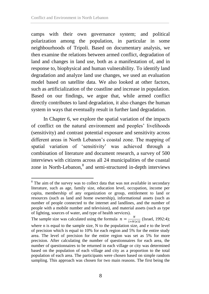$\overline{a}$ 

camps with their own governance system; and political polarization among the population, in particular in some neighbourhoods of Tripoli. Based on documentary analysis, we then examine the relations between armed conflict, degradation of land and changes in land use, both as a manifestation of, and in response to, biophysical and human vulnerability. To identify land degradation and analyze land use changes, we used an evaluation model based on satellite data. We also looked at other factors, such as artificialization of the coastline and increase in population. Based on our findings, we argue that, while armed conflict directly contributes to land degradation, it also changes the human system in ways that eventually result in further land degradation.

In Chapter 6, we explore the spatial variation of the impacts of conflict on the natural environment and peoples' livelihoods (sensitivity) and contrast potential exposure and sensitivity across different areas in North Lebanon's coastal zone. The mapping of spatial variation of 'sensitivity' was achieved through a combination of literature and document research, a survey of 500 interviews with citizens across all 24 municipalities of the coastal zone in North-Lebanon,<sup>8</sup> and semi-structured in-depth interviews

The sample size was calculated using the formula  $n = \frac{N}{4 \cdot N}$  $\frac{N}{1+N(e)2}$  (Israel, 1992:4); where n is equal to the sample size, N to the population size, and e to the level of precision which is equal to 10% for each region and 5% for the entire study area. The level of precision for the entire region was set as 5% for more precision. After calculating the number of questionnaires for each area, the number of questionnaires to be returned in each village or city was determined based on the population of each village and city as a proportion to the total population of each area. The participants were chosen based on simple random sampling. This approach was chosen for two main reasons. The first being the

 $8$  The aim of the survey was to collect data that was not available in secondary literature, such as age, family size, education level, occupation, income per capita, membership of any organization or group, entitlement to land or resources (such as land and home ownership), informational assets (such as number of people connected to the internet and landlines, and the number of people with a mobile number and television), and material assets (such as type of lighting, sources of water, and type of health services).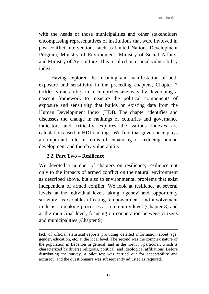with the heads of those municipalities and other stakeholders encompassing representatives of institutions that were involved in post-conflict interventions such as United Nations Development Program, Ministry of Environment, Ministry of Social Affairs, and Ministry of Agriculture. This resulted in a social vulnerability index.

Having explored the meaning and manifestation of both exposure and sensitivity in the preceding chapters, Chapter 7 tackles vulnerability in a comprehensive way by developing a nascent framework to measure the political components of exposure and sensitivity that builds on existing data from the Human Development Index (HDI). The chapter identifies and discusses the change in rankings of countries and governance indicators and critically explores the various indexes are calculations used in HDI rankings. We find that governance plays an important role in terms of enhancing or reducing human development and thereby vulnerability.

### **2.2. Part Two – Resilience**

 $\overline{a}$ 

We devoted a number of chapters on resilience; resilience not only to the impacts of armed conflict on the natural environment as described above, but also to environmental problems that exist independent of armed conflict. We look at resilience at several levels: at the individual level, taking 'agency' and 'opportunity structure' as variables affecting 'empowerment' and involvement in decision-making processes at community level (Chapter 8) and at the municipal level, focusing on cooperation between citizens and municipalities (Chapter 9).

lack of official statistical reports providing detailed information about age, gender, education, etc. at the local level. The second was the complex nature of the population in Lebanon in general, and in the north in particular, which is characterized by diverse religious, political, and ideological affiliations. Before distributing the survey, a pilot test was carried out for acceptability and accuracy, and the questionnaire was subsequently adjusted as required.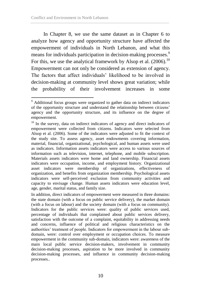In Chapter 8, we use the same dataset as in Chapter 6 to analyze how agency and opportunity structure have affected the empowerment of individuals in North Lebanon, and what this means for individuals participation in decision-making processes.<sup>9</sup> For this, we use the analytical framework by Alsop et al.  $(2006)$ <sup>10</sup> Empowerment can not only be considered as extension of agency. The factors that affect individuals' likelihood to be involved in decision-making at community level shows great variation; while the probability of their involvement increases in some

In addition, direct indicators of empowerment were measured in three domains: the state domain (with a focus on public service delivery), the market domain (with a focus on labour) and the society domain (with a focus on community). Indicators for the public services were: quality of public services used, percentage of individuals that complained about public services delivery, satisfaction with the outcome of a complaint, equitability in addressing needs and concerns, influence of political and religious characteristics on the authorities' treatment of people. Indicators for empowerment in the labour subdomain, were: control over employment or occupation choices. To measure empowerment in the community sub-domain, indicators were: awareness of the main local public service decision-makers, involvement in community decision-making processes, aspiration to be more involved in community decision-making processes, and influence in community decision-making processes..

 $\overline{a}$  $9$  Additional focus groups were organized to gather data on indirect indicators of the opportunity structure and understand the relationship between citizens' agency and the opportunity structure, and its influence on the degree of empowerment.

<sup>&</sup>lt;sup>10</sup> In the survey, data on indirect indicators of agency and direct indicators of empowerment were collected from citizens. Indicators were selected from Alsop et al. (2006). Some of the indicators were adjusted to fit the context of the study site. To assess agency, asset endowments covering information, material, financial, organizational, psychological, and human assets were used as indicators. Information assets indicators were access to various sources of information such as television, internet, telephone, and mobile subscription. Materials assets indicators were home and land ownership. Financial assets indicators were occupation, income, and employment history. Organizational asset indicators were membership of organizations, effectiveness of organization, and benefits from organization membership. Psychological assets indicators were self-perceived exclusion from community activities and capacity to envisage change. Human assets indicators were education level, age, gender, marital status, and family size.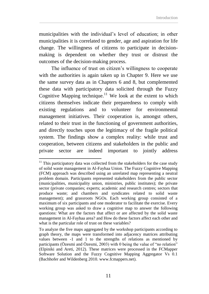municipalities with the individual's level of education; in other municipalities it is correlated to gender, age and aspiration for life change. The willingness of citizens to participate in decisionmaking is dependent on whether they trust or distrust the outcomes of the decision-making process.

The influence of trust on citizen's willingness to cooperate with the authorities is again taken up in Chapter 9. Here we use the same survey data as in Chapters 6 and 8, but complemented these data with participatory data solicited through the Fuzzy Cognitive Mapping technique.<sup>11</sup> We look at the extent to which citizens themselves indicate their preparedness to comply with existing regulations and to volunteer for environmental management initiatives. Their cooperation is, amongst others, related to their trust in the functioning of government authorities, and directly touches upon the legitimacy of the fragile political system. The findings show a complex reality: while trust and cooperation, between citizens and stakeholders in the public and private sector are indeed important to jointly address

 $\overline{a}$ 

 $11$  This participatory data was collected from the stakeholders for the case study of solid waste management in Al-Fayhaa Union. The Fuzzy Cognitive Mapping (FCM) approach was described using an unrelated map representing a neutral problem domain. Participants represented stakeholders from the public sector (municipalities, municipality union, ministries, public institutes); the private sector (private companies; experts; academic and research centres; sectors that produce waste; and chambers and syndicates related to solid waste management); and grassroots NGOs. Each working group consisted of a maximum of six participants and one moderator to facilitate the exercise. Every working group was asked to draw a cognitive map to answer the following questions: What are the factors that affect or are affected by the solid waste management in Al-Fayhaa area? and How do these factors affect each other and what is the particular role of trust on these variables?

To analyze the five maps aggregated by the workshop participants according to graph theory, the maps were transformed into adjacency matrices attributing values between -1 and 1 to the strengths of relations as mentioned by participants (Özesmi and Özesmi, 2003) with 0 being the value of "no relation" (Elpiniki and Areti, 2012). These matrices were processed in the FCMapper Software Solution and the Fuzzy Cognitive Mapping Aggregator Vs 0.1 (Bachhofer and Wildenberg 2010. www.fcmappers.net).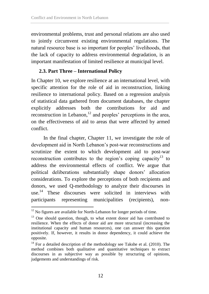environmental problems, trust and personal relations are also used to jointly circumvent existing environmental regulations. The natural resource base is so important for peoples' livelihoods, that the lack of capacity to address environmental degradation, is an important manifestation of limited resilience at municipal level.

## **2.3. Part Three – International Policy**

In Chapter 10, we explore resilience at an international level, with specific attention for the role of aid in reconstruction, linking resilience to international policy. Based on a regression analysis of statistical data gathered from document databases, the chapter explicitly addresses both the contributions for aid and reconstruction in Lebanon, $^{12}$  and peoples' perceptions in the area, on the effectiveness of aid to areas that were affected by armed conflict.

In the final chapter, Chapter 11, we investigate the role of development aid in North Lebanon's post-war reconstructions and scrutinize the extent to which development aid to post-war reconstruction contributes to the region's coping capacity<sup>13</sup> to address the environmental effects of conflict. We argue that political deliberations substantially shape donors' allocation considerations. To explore the perceptions of both recipients and donors, we used Q-methodology to analyze their discourses in use.<sup>14</sup> These discourses were solicited in interviews with participants representing municipalities (recipients), non-

 $\overline{a}$ 

 $12$  No figures are available for North-Lebanon for longer periods of time.

<sup>&</sup>lt;sup>13</sup> One should question, though, to what extent donor aid has contributed to resilience. When the effects of donor aid are more structural (increasing the institutional capacity and human resources), one can answer this question positively. If, however, it results in donor dependency, it could achieve the opposite.

 $14$  For a detailed description of the methodology see Takshe et al. (2010). The method combines both qualitative and quantitative techniques to extract discourses in as subjective way as possible by structuring of opinions, judgements and understandings of risk.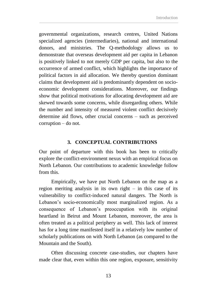governmental organizations, research centres, United Nations specialized agencies (intermediaries), national and international donors, and ministries. The Q-methodology allows us to demonstrate that overseas development aid per capita in Lebanon is positively linked to not merely GDP per capita, but also to the occurrence of armed conflict, which highlights the importance of political factors in aid allocation. We thereby question dominant claims that development aid is predominantly dependent on socioeconomic development considerations. Moreover, our findings show that political motivations for allocating development aid are skewed towards some concerns, while disregarding others. While the number and intensity of measured violent conflict decisively determine aid flows, other crucial concerns – such as perceived corruption – do not.

#### **3. CONCEPTUAL CONTRIBUTIONS**

Our point of departure with this book has been to critically explore the conflict-environment nexus with an empirical focus on North Lebanon. Our contributions to academic knowledge follow from this.

Empirically, we have put North Lebanon on the map as a region meriting analysis in its own right – in this case of its vulnerability to conflict-induced natural dangers. The North is Lebanon's socio-economically most marginalized region. As a consequence of Lebanon's preoccupation with its original heartland in Beirut and Mount Lebanon, moreover, the area is often treated as a political periphery as well. This lack of interest has for a long time manifested itself in a relatively low number of scholarly publications on with North Lebanon (as compared to the Mountain and the South).

Often discussing concrete case-studies, our chapters have made clear that, even within this one region, exposure, sensitivity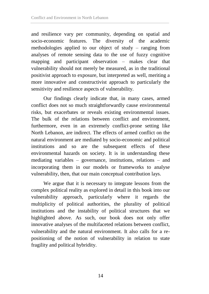and resilience vary per community, depending on spatial and socio-economic features. The diversity of the academic methodologies applied to our object of study – ranging from analyses of remote sensing data to the use of fuzzy cognitive mapping and participant observation – makes clear that vulnerability should not merely be measured, as in the traditional positivist approach to exposure, but interpreted as well, meriting a more innovative and constructivist approach to particularly the sensitivity and resilience aspects of vulnerability.

Our findings clearly indicate that, in many cases, armed conflict does not so much straightforwardly cause environmental risks, but exacerbates or reveals existing environmental issues. The bulk of the relations between conflict and environment, furthermore, even in an extremely conflict-prone setting like North Lebanon, are indirect. The effects of armed conflict on the natural environment are mediated by socio-economic and political institutions and so are the subsequent effects of these environmental hazards on society. It is in understanding these mediating variables – governance, institutions, relations – and incorporating them in our models or frameworks to analyse vulnerability, then, that our main conceptual contribution lays.

We argue that it is necessary to integrate lessons from the complex political reality as explored in detail in this book into our vulnerability approach, particularly where it regards the multiplicity of political authorities, the plurality of political institutions and the instability of political structures that we highlighted above. As such, our book does not only offer innovative analyses of the multifaceted relations between conflict, vulnerability and the natural environment. It also calls for a repositioning of the notion of vulnerability in relation to state fragility and political hybridity.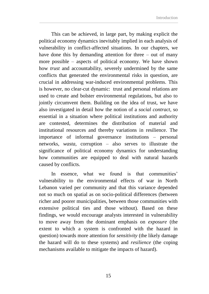This can be achieved, in large part, by making explicit the political economy dynamics inevitably implied in each analysis of vulnerability in conflict-affected situations. In our chapters, we have done this by demanding attention for three – out of many more possible – aspects of political economy. We have shown how *trust* and accountability, severely undermined by the same conflicts that generated the environmental risks in question, are crucial in addressing war-induced environmental problems. This is however, no clear-cut dynamic: trust and personal relations are used to create and bolster environmental regulations, but also to jointly circumvent them. Building on the idea of trust, we have also investigated in detail how the notion of a *social contract*, so essential in a situation where political institutions and authority are contested, determines the distribution of material and institutional resources and thereby variations in resilience. The importance of informal governance institutions – personal networks, *wasta*, corruption – also serves to illustrate the significance of political economy dynamics for understanding how communities are equipped to deal with natural hazards caused by conflicts.

In essence, what we found is that communities' vulnerability to the environmental effects of war in North Lebanon varied per community and that this variance depended not so much on spatial as on socio-political differences (between richer and poorer municipalities, between those communities with extensive political ties and those without). Based on these findings, we would encourage analysts interested in vulnerability to move away from the dominant emphasis on *exposure* (the extent to which a system is confronted with the hazard in question) towards more attention for *sensitivity* (the likely damage the hazard will do to these systems) and *resilience* (the coping mechanisms available to mitigate the impacts of hazard).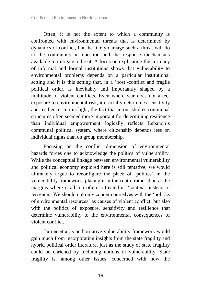Often, it is not the extent to which a community is confronted with environmental threats that is determined by dynamics of conflict, but the likely damage such a threat will do to the community in question and the response mechanisms available to mitigate a threat. A focus on explicating the currency of informal and formal institutions shows that vulnerability to environmental problems depends on a particular institutional setting and it is this setting that, in a 'post'-conflict and fragile political order, is inevitably and importantly shaped by a multitude of violent conflicts. Even where war does not affect exposure to environmental risk, it crucially determines sensitivity and resilience. In this light, the fact that in our studies communal structures often seemed more important for determining resilience than individual empowerment logically reflects Lebanon's communal political system, where citizenship depends less on individual rights than on group membership.

Focusing on the conflict dimension of environmental hazards forces one to acknowledge the politics of vulnerability. While the conceptual linkage between environmental vulnerability and political economy explored here is still tentative, we would ultimately argue to reconfigure the place of 'politics' in the vulnerability framework, placing it in the centre rather than at the margins where it all too often is treated as 'context' instead of 'essence.' We should not only concern ourselves with the 'politics of environmental resources' as causes of violent conflict, but also with the politics of exposure, sensitivity and resilience that determine vulnerability to the environmental consequences of violent conflict.

Turner et al.'s authoritative vulnerability framework would gain much from incorporating insights from the state fragility and hybrid political order literature, just as the study of state fragility could be enriched by including notions of vulnerability. State fragility is, among other issues, concerned with how the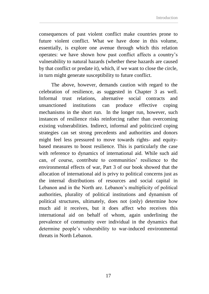consequences of past violent conflict make countries prone to future violent conflict. What we have done in this volume, essentially, is explore one avenue through which this relation operates: we have shown how past conflict affects a country's vulnerability to natural hazards (whether these hazards are caused by that conflict or predate it), which, if we want to close the circle, in turn might generate susceptibility to future conflict.

The above, however, demands caution with regard to the celebration of resilience, as suggested in Chapter 3 as well. Informal trust relations, alternative social contracts and unsanctioned institutions can produce effective coping mechanisms in the short run. In the longer run, however, such instances of resilience risks reinforcing rather than overcoming existing vulnerabilities. Indirect, informal and politicized coping strategies can set strong precedents and authorities and donors might feel less pressured to move towards rights- and equitybased measures to boost resilience. This is particularly the case with reference to dynamics of international aid. While such aid can, of course, contribute to communities' resilience to the environmental effects of war, Part 3 of our book showed that the allocation of international aid is privy to political concerns just as the internal distributions of resources and social capital in Lebanon and in the North are. Lebanon's multiplicity of political authorities, plurality of political institutions and dynamism of political structures, ultimately, does not (only) determine how much aid it receives, but it does affect who receives this international aid on behalf of whom, again underlining the prevalence of community over individual in the dynamics that determine people's vulnerability to war-induced environmental threats in North Lebanon.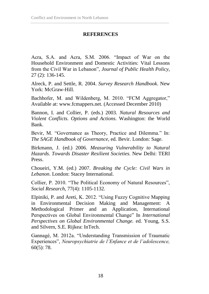## **REFERENCES**

Acra, S.A. and Acra, S.M. 2006. "Impact of War on the Household Environment and Domestic Activities: Vital Lessons from the Civil War in Lebanon", *Journal of Public Health Policy,* 27 (2): 136-145.

Alreck, P. and Settle, R. 2004. *Survey Research Handbook*. New York: McGraw-Hill.

Bachhofer, M. and Wildenberg, M. 2010. "FCM Aggregator," Available at: www.fcmappers.net. (Accessed December 2010)

Bannon, I. and Collier, P. (eds.) 2003. *Natural Resources and Violent Conflicts. Options and Actions*. Washington: the World Bank.

Bevir, M. "Governance as Theory, Practice and Dilemma." In: *The SAGE Handbook of Governance*, ed. Bevir. London: Sage.

Birkmann, J. (ed.) 2006. *Measuring Vulnerability to Natural Hazards. Towards Disaster Resilient Societies.* New Delhi: TERI Press.

Choueiri, Y.M. (ed.) 2007. *Breaking the Cycle: Civil Wars in Lebanon*. London: Stacey International.

Collier, P. 2010. "The Political Economy of Natural Resources", *Social Research*, 77(4): 1105-1132.

Elpiniki, P. and Areti, K. 2012. "Using Fuzzy Cognitive Mapping in Environmental Decision Making and Management: A Methodological Primer and an Application, International Perspectives on Global Environmental Change" In *International Perspectives on Global Environmental Change.* ed. Young, S.S. and Silvern, S.E. Rijkea: InTech.

Gannagé, M. 2012a. "Understanding Transmission of Traumatic Experiences", *Neuropsychiatrie de l'Enfance et de l'adolescence,* 60(5): 78.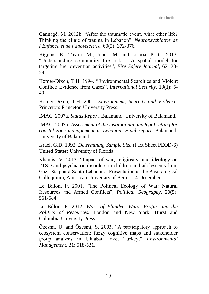Gannagé, M. 2012b. "After the traumatic event, what other life? Thinking the clinic of trauma in Lebanon", *Neuropsychiatrie de l'Enfance et de l'adolescence*, 60(5): 372-376.

Higgins, E., Taylor, M., Jones, M. and Lisboa, P.J.G. 2013. "Understanding community fire risk – A spatial model for targeting fire prevention activities", *Fire Safety Journal*, 62: 20- 29.

Homer-Dixon, T.H. 1994. "Environmental Scarcities and Violent Conflict: Evidence from Cases", *International Security*, 19(1): 5- 40.

Homer-Dixon, T.H. 2001. *Environment, Scarcity and Violence.*  Princeton: Princeton University Press.

IMAC. 2007a. *Status Report.* Balamand: University of Balamand.

IMAC. 2007b. *Assessment of the institutional and legal setting for coastal zone management in Lebanon: Final report.* Balamand: University of Balamand.

Israel, G.D. 1992. *Determining Sample Size* (Fact Sheet PEOD-6) United States: University of Florida.

Khamis, V. 2012. "Impact of war, religiosity, and ideology on PTSD and psychiatric disorders in children and adolescents from Gaza Strip and South Lebanon." Presentation at the Physiological Colloquium, American University of Beirut – 4 December.

Le Billon, P. 2001. "The Political Ecology of War: Natural Resources and Armed Conflicts", *Political Geography,* 20(5): 561-584.

Le Billon, P. 2012. *Wars of Plunder. Wars, Profits and the Politics of Resources.* London and New York: Hurst and Columbia University Press.

Özesmi, U. and Özesmi, S. 2003. "A participatory approach to ecosystem conservation: fuzzy cognitive maps and stakeholder group analysis in Uluabat Lake, Turkey," *Environmental Management,* 31: 518-531.